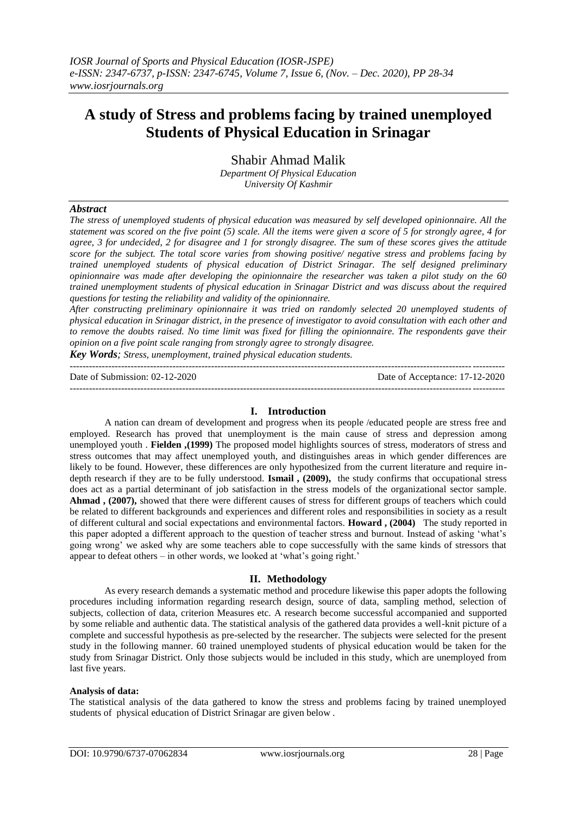## **A study of Stress and problems facing by trained unemployed Students of Physical Education in Srinagar**

Shabir Ahmad Malik *Department Of Physical Education University Of Kashmir* 

### *Abstract*

*The stress of unemployed students of physical education was measured by self developed opinionnaire. All the statement was scored on the five point (5) scale. All the items were given a score of 5 for strongly agree, 4 for agree, 3 for undecided, 2 for disagree and 1 for strongly disagree. The sum of these scores gives the attitude score for the subject. The total score varies from showing positive/ negative stress and problems facing by trained unemployed students of physical education of District Srinagar. The self designed preliminary opinionnaire was made after developing the opinionnaire the researcher was taken a pilot study on the 60 trained unemployment students of physical education in Srinagar District and was discuss about the required questions for testing the reliability and validity of the opinionnaire.*

*After constructing preliminary opinionnaire it was tried on randomly selected 20 unemployed students of physical education in Srinagar district, in the presence of investigator to avoid consultation with each other and to remove the doubts raised. No time limit was fixed for filling the opinionnaire. The respondents gave their opinion on a five point scale ranging from strongly agree to strongly disagree.* 

*Key Words; Stress, unemployment, trained physical education students.*

--------------------------------------------------------------------------------------------------------------------------------------- Date of Submission: 02-12-2020 Date of Acceptance: 17-12-2020 ---------------------------------------------------------------------------------------------------------------------------------------

#### **I. Introduction**

A nation can dream of development and progress when its people /educated people are stress free and employed. Research has proved that unemployment is the main cause of stress and depression among unemployed youth . **Fielden ,(1999)** The proposed model highlights sources of stress, moderators of stress and stress outcomes that may affect unemployed youth, and distinguishes areas in which gender differences are likely to be found. However, these differences are only hypothesized from the current literature and require indepth research if they are to be fully understood. **Ismail , (2009),** the study confirms that occupational stress does act as a partial determinant of job satisfaction in the stress models of the organizational sector sample. **Ahmad , (2007),** showed that there were different causes of stress for different groups of teachers which could be related to different backgrounds and experiences and different roles and responsibilities in society as a result of different cultural and social expectations and environmental factors. **Howard , (2004)** The study reported in this paper adopted a different approach to the question of teacher stress and burnout. Instead of asking "what"s going wrong" we asked why are some teachers able to cope successfully with the same kinds of stressors that appear to defeat others – in other words, we looked at "what"s going right."

#### **II. Methodology**

As every research demands a systematic method and procedure likewise this paper adopts the following procedures including information regarding research design, source of data, sampling method, selection of subjects, collection of data, criterion Measures etc. A research become successful accompanied and supported by some reliable and authentic data. The statistical analysis of the gathered data provides a well-knit picture of a complete and successful hypothesis as pre-selected by the researcher. The subjects were selected for the present study in the following manner. 60 trained unemployed students of physical education would be taken for the study from Srinagar District. Only those subjects would be included in this study, which are unemployed from last five years.

#### **Analysis of data:**

The statistical analysis of the data gathered to know the stress and problems facing by trained unemployed students of physical education of District Srinagar are given below .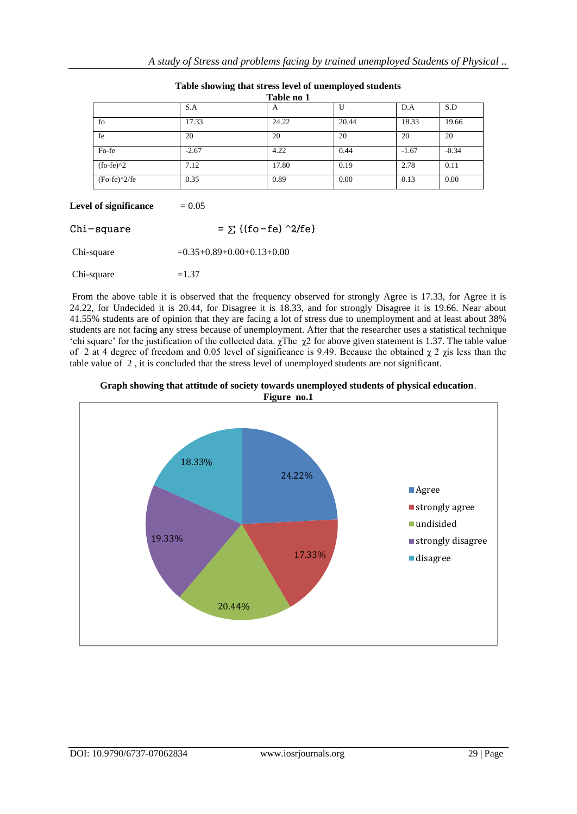|                 |         | Table no 1     |       |         |         |
|-----------------|---------|----------------|-------|---------|---------|
|                 | S.A     | $\overline{A}$ | U     | D.A     | S.D     |
| fo              | 17.33   | 24.22          | 20.44 | 18.33   | 19.66   |
| fe              | 20      | 20             | 20    | 20      | 20      |
| Fo-fe           | $-2.67$ | 4.22           | 0.44  | $-1.67$ | $-0.34$ |
| $f_0 - f e$ $2$ | 7.12    | 17.80          | 0.19  | 2.78    | 0.11    |
| $(Fo-fe)^2/fe$  | 0.35    | 0.89           | 0.00  | 0.13    | 0.00    |

# **Table showing that stress level of unemployed students**

## **Level of significance**  $= 0.05$

| Chi-square | $= \sum \{(fo - fe) \sim 2/fe\}$     |
|------------|--------------------------------------|
| Chi-square | $= 0.35 + 0.89 + 0.00 + 0.13 + 0.00$ |
| Chi-square | $=1.37$                              |

From the above table it is observed that the frequency observed for strongly Agree is 17.33, for Agree it is 24.22, for Undecided it is 20.44, for Disagree it is 18.33, and for strongly Disagree it is 19.66. Near about 41.55% students are of opinion that they are facing a lot of stress due to unemployment and at least about 38% students are not facing any stress because of unemployment. After that the researcher uses a statistical technique 'chi square' for the justification of the collected data.  $\chi$ The  $\chi$ 2 for above given statement is 1.37. The table value of 2 at 4 degree of freedom and 0.05 level of significance is 9.49. Because the obtained  $\chi$  2  $\chi$ is less than the table value of 2 , it is concluded that the stress level of unemployed students are not significant.



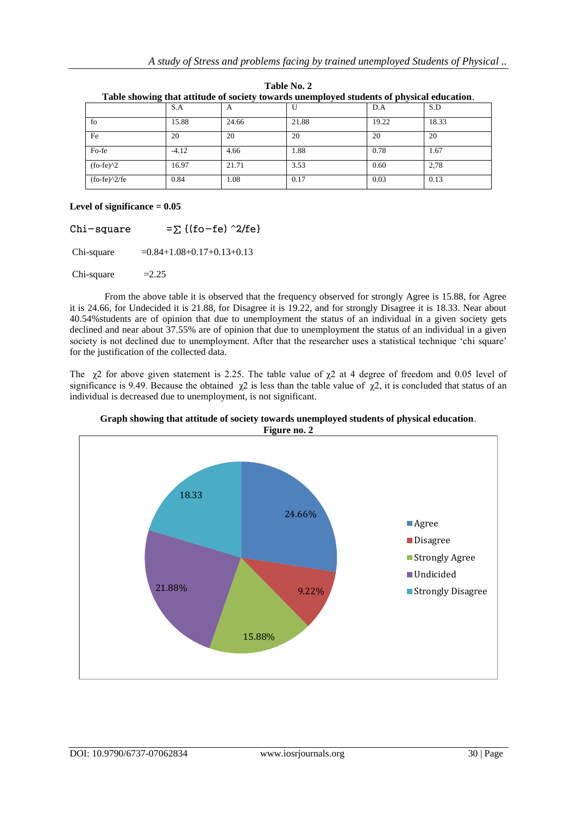| Tubic showing that attitude of society towards unemployed statemes of physical cuteution. |         |            |       |       |       |  |
|-------------------------------------------------------------------------------------------|---------|------------|-------|-------|-------|--|
|                                                                                           | S.A     | $\sqrt{ }$ |       | D.A   | S.D   |  |
| fo                                                                                        | 15.88   | 24.66      | 21.88 | 19.22 | 18.33 |  |
| Fe                                                                                        | 20      | 20         | 20    | 20    | 20    |  |
| Fo-fe                                                                                     | $-4.12$ | 4.66       | 1.88  | 0.78  | 1.67  |  |
| $f_0 - f e$ ) ^2                                                                          | 16.97   | 21.71      | 3.53  | 0.60  | 2.78  |  |
| $f_0-f_0^2$ (fo-fe) <sup><math>\frac{2}{f_0}</math></sup>                                 | 0.84    | 1.08       | 0.17  | 0.03  | 0.13  |  |

**Table No. 2 Table showing that attitude of society towards unemployed students of physical education**.

## **Level of significance = 0.05**

| $Chi$ -square | $=\Sigma$ {(fo-fe) ^2/fe}   |
|---------------|-----------------------------|
| Chi-square    | $=0.84+1.08+0.17+0.13+0.13$ |

 $Chi-square$  =2.25

From the above table it is observed that the frequency observed for strongly Agree is 15.88, for Agree it is 24.66, for Undecided it is 21.88, for Disagree it is 19.22, and for strongly Disagree it is 18.33. Near about 40.54%students are of opinion that due to unemployment the status of an individual in a given society gets declined and near about 37.55% are of opinion that due to unemployment the status of an individual in a given society is not declined due to unemployment. After that the researcher uses a statistical technique 'chi square' for the justification of the collected data.

The  $\chi$ 2 for above given statement is 2.25. The table value of  $\chi$ 2 at 4 degree of freedom and 0.05 level of significance is 9.49. Because the obtained  $\chi$ 2 is less than the table value of  $\chi$ 2, it is concluded that status of an individual is decreased due to unemployment, is not significant.



**Graph showing that attitude of society towards unemployed students of physical education**.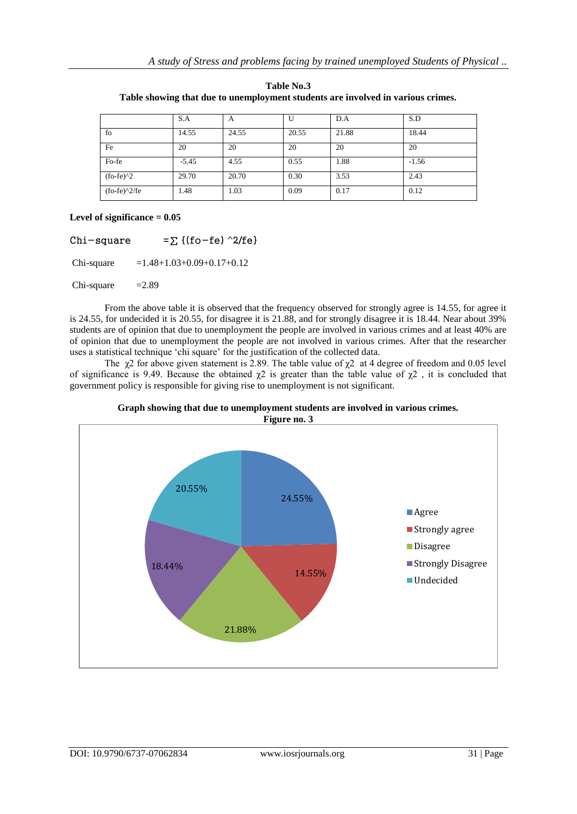|             | S.A     | A     | U     | D.A   | S.D     |
|-------------|---------|-------|-------|-------|---------|
| fo          | 14.55   | 24.55 | 20.55 | 21.88 | 18.44   |
| Fe          | 20      | 20    | 20    | 20    | 20      |
| Fo-fe       | $-5.45$ | 4.55  | 0.55  | 1.88  | $-1.56$ |
| $(fo-fe)^2$ | 29.70   | 20.70 | 0.30  | 3.53  | 2.43    |
| $f_0-f_0^2$ | 1.48    | 1.03  | 0.09  | 0.17  | 0.12    |

**Table No.3 Table showing that due to unemployment students are involved in various crimes.**

### **Level of significance = 0.05**

Chi-square = $\sum$  {(fo-fe) ^2/fe}

Chi-square  $=1.48+1.03+0.09+0.17+0.12$ 

 $Chi-square$  =2.89

From the above table it is observed that the frequency observed for strongly agree is 14.55, for agree it is 24.55, for undecided it is 20.55, for disagree it is 21.88, and for strongly disagree it is 18.44. Near about 39% students are of opinion that due to unemployment the people are involved in various crimes and at least 40% are of opinion that due to unemployment the people are not involved in various crimes. After that the researcher uses a statistical technique "chi square" for the justification of the collected data.

The  $\gamma$ 2 for above given statement is 2.89. The table value of  $\gamma$ 2 at 4 degree of freedom and 0.05 level of significance is 9.49. Because the obtained  $\chi$ 2 is greater than the table value of  $\chi$ 2, it is concluded that government policy is responsible for giving rise to unemployment is not significant.



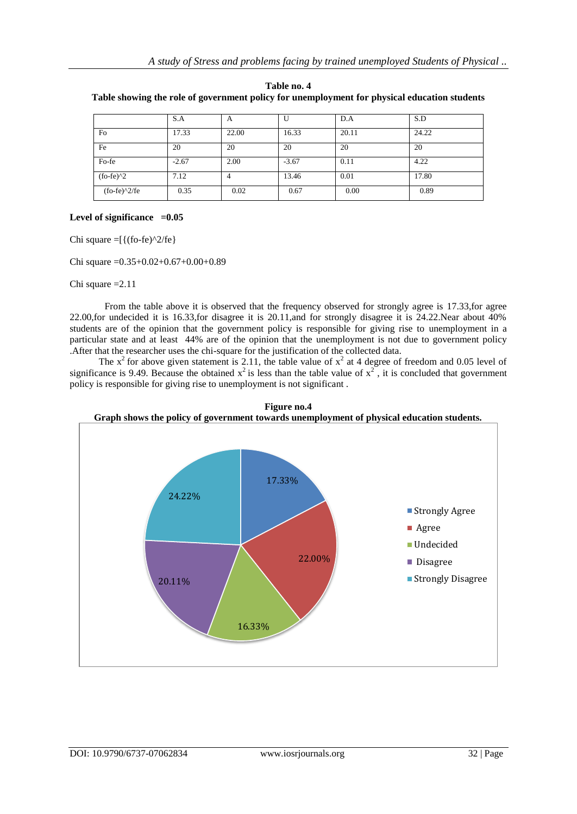|                                                           | S.A     | A     |         | D.A   | S.D   |
|-----------------------------------------------------------|---------|-------|---------|-------|-------|
| Fo                                                        | 17.33   | 22.00 | 16.33   | 20.11 | 24.22 |
| Fe                                                        | 20      | 20    | 20      | 20    | 20    |
| Fo-fe                                                     | $-2.67$ | 2.00  | $-3.67$ | 0.11  | 4.22  |
| $f_0 - f e$ $2$                                           | 7.12    | 4     | 13.46   | 0.01  | 17.80 |
| $f_0-f_0^2$ (fo-fe) <sup><math>\frac{2}{f_0}</math></sup> | 0.35    | 0.02  | 0.67    | 0.00  | 0.89  |

**Table no. 4 Table showing the role of government policy for unemployment for physical education students**

### Level of significance  $=0.05$

Chi square  $=[{(fo-fe)^2/fe}]$ 

Chi square =0.35+0.02+0.67+0.00+0.89

Chi square =2.11

From the table above it is observed that the frequency observed for strongly agree is 17.33,for agree 22.00,for undecided it is 16.33,for disagree it is 20.11,and for strongly disagree it is 24.22.Near about 40% students are of the opinion that the government policy is responsible for giving rise to unemployment in a particular state and at least 44% are of the opinion that the unemployment is not due to government policy .After that the researcher uses the chi-square for the justification of the collected data.

The  $x^2$  for above given statement is 2.11, the table value of  $x^2$  at 4 degree of freedom and 0.05 level of significance is 9.49. Because the obtained  $x^2$  is less than the table value of  $x^2$ , it is concluded that government policy is responsible for giving rise to unemployment is not significant .



**Figure no.4**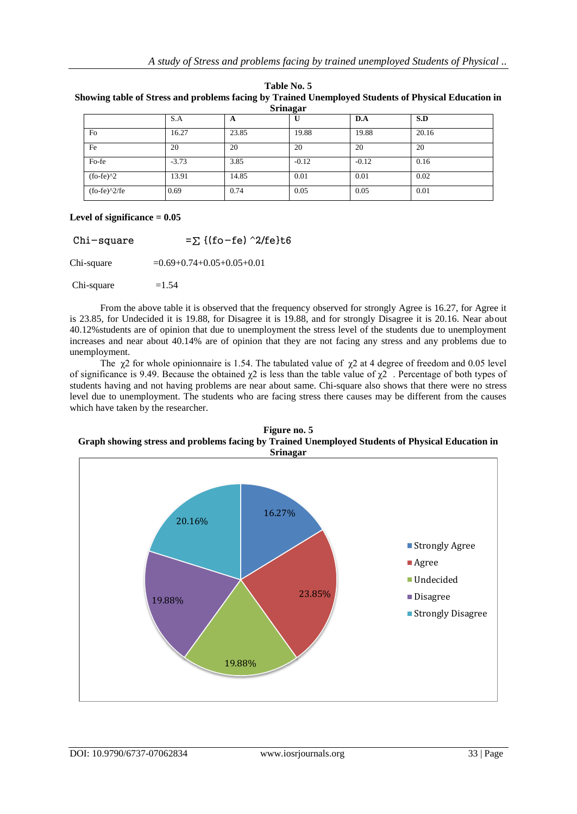| Table No. 5 |  |  |
|-------------|--|--|
|-------------|--|--|

**Showing table of Stress and problems facing by Trained Unemployed Students of Physical Education in Srinagar**

| 5.1114                                                    |         |       |         |         |       |  |
|-----------------------------------------------------------|---------|-------|---------|---------|-------|--|
|                                                           | S.A     | A     | U       | D.A     | S.D   |  |
| Fo                                                        | 16.27   | 23.85 | 19.88   | 19.88   | 20.16 |  |
| Fe                                                        | 20      | 20    | 20      | 20      | 20    |  |
| Fo-fe                                                     | $-3.73$ | 3.85  | $-0.12$ | $-0.12$ | 0.16  |  |
| $(fo-fe)^2$                                               | 13.91   | 14.85 | 0.01    | 0.01    | 0.02  |  |
| $f_0-f_0^2$ (fo-fe) <sup><math>\frac{2}{f_0}</math></sup> | 0.69    | 0.74  | 0.05    | 0.05    | 0.01  |  |

### **Level of significance = 0.05**

Chi-square  $=$   $\sum$  {(fo-fe) ^2/fe}t6 Chi-square  $= 0.69 + 0.74 + 0.05 + 0.05 + 0.01$  $Chi-square =1.54$ 

From the above table it is observed that the frequency observed for strongly Agree is 16.27, for Agree it is 23.85, for Undecided it is 19.88, for Disagree it is 19.88, and for strongly Disagree it is 20.16. Near about 40.12%students are of opinion that due to unemployment the stress level of the students due to unemployment increases and near about 40.14% are of opinion that they are not facing any stress and any problems due to unemployment.

The  $\chi$ 2 for whole opinionnaire is 1.54. The tabulated value of  $\chi$ 2 at 4 degree of freedom and 0.05 level of significance is 9.49. Because the obtained  $\gamma$ 2 is less than the table value of  $\gamma$ 2. Percentage of both types of students having and not having problems are near about same. Chi-square also shows that there were no stress level due to unemployment. The students who are facing stress there causes may be different from the causes which have taken by the researcher.

#### **Figure no. 5 Graph showing stress and problems facing by Trained Unemployed Students of Physical Education in Srinagar**